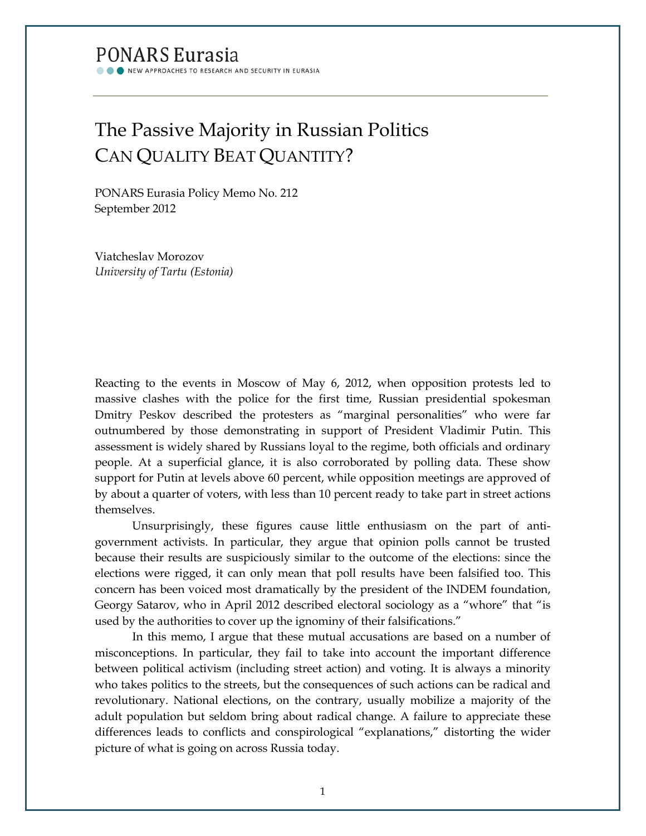## **PONARS Eurasia**

NEW APPROACHES TO RESEARCH AND SECURITY IN EURASIA

# The Passive Majority in Russian Politics CAN QUALITY BEAT QUANTITY?

PONARS Eurasia Policy Memo No. 212 September 2012

Viatcheslav Morozov *University of Tartu (Estonia)*

Reacting to the events in Moscow of May 6, 2012, when opposition protests led to massive clashes with the police for the first time, Russian presidential spokesman Dmitry Peskov described the protesters as "marginal personalities" who were far outnumbered by those demonstrating in support of President Vladimir Putin. This assessment is widely shared by Russians loyal to the regime, both officials and ordinary people. At a superficial glance, it is also corroborated by polling data. These show support for Putin at levels above 60 percent, while opposition meetings are approved of by about a quarter of voters, with less than 10 percent ready to take part in street actions themselves.

Unsurprisingly, these figures cause little enthusiasm on the part of antigovernment activists. In particular, they argue that opinion polls cannot be trusted because their results are suspiciously similar to the outcome of the elections: since the elections were rigged, it can only mean that poll results have been falsified too. This concern has been voiced most dramatically by the president of the INDEM foundation, Georgy Satarov, who in April 2012 described electoral sociology as a "whore" that "is used by the authorities to cover up the ignominy of their falsifications."

In this memo, I argue that these mutual accusations are based on a number of misconceptions. In particular, they fail to take into account the important difference between political activism (including street action) and voting. It is always a minority who takes politics to the streets, but the consequences of such actions can be radical and revolutionary. National elections, on the contrary, usually mobilize a majority of the adult population but seldom bring about radical change. A failure to appreciate these differences leads to conflicts and conspirological "explanations," distorting the wider picture of what is going on across Russia today.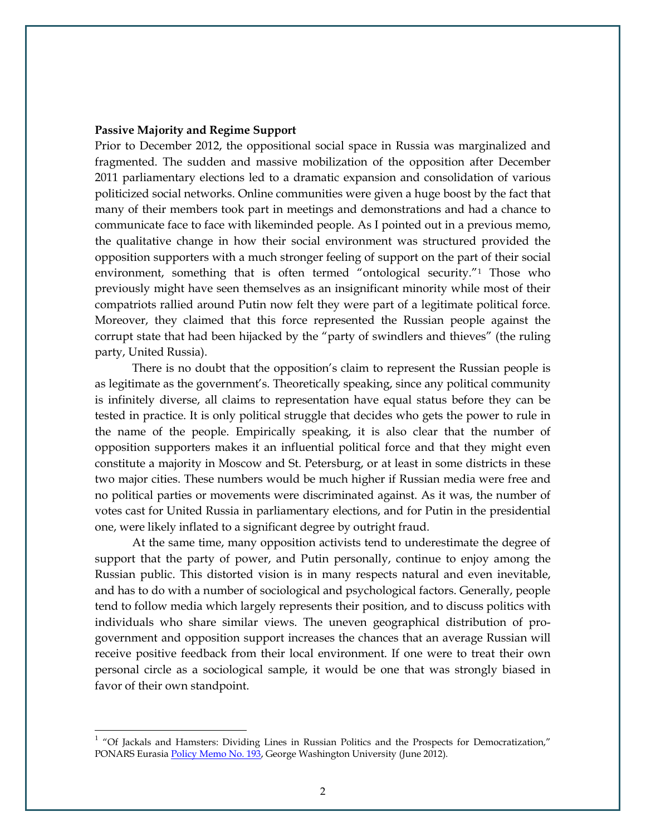#### **Passive Majority and Regime Support**

Prior to December 2012, the oppositional social space in Russia was marginalized and fragmented. The sudden and massive mobilization of the opposition after December 2011 parliamentary elections led to a dramatic expansion and consolidation of various politicized social networks. Online communities were given a huge boost by the fact that many of their members took part in meetings and demonstrations and had a chance to communicate face to face with likeminded people. As I pointed out in a previous memo, the qualitative change in how their social environment was structured provided the opposition supporters with a much stronger feeling of support on the part of their social environment, something that is often termed "ontological security."<sup>[1](#page-1-0)</sup> Those who previously might have seen themselves as an insignificant minority while most of their compatriots rallied around Putin now felt they were part of a legitimate political force. Moreover, they claimed that this force represented the Russian people against the corrupt state that had been hijacked by the "party of swindlers and thieves" (the ruling party, United Russia).

There is no doubt that the opposition's claim to represent the Russian people is as legitimate as the government's. Theoretically speaking, since any political community is infinitely diverse, all claims to representation have equal status before they can be tested in practice. It is only political struggle that decides who gets the power to rule in the name of the people. Empirically speaking, it is also clear that the number of opposition supporters makes it an influential political force and that they might even constitute a majority in Moscow and St. Petersburg, or at least in some districts in these two major cities. These numbers would be much higher if Russian media were free and no political parties or movements were discriminated against. As it was, the number of votes cast for United Russia in parliamentary elections, and for Putin in the presidential one, were likely inflated to a significant degree by outright fraud.

At the same time, many opposition activists tend to underestimate the degree of support that the party of power, and Putin personally, continue to enjoy among the Russian public. This distorted vision is in many respects natural and even inevitable, and has to do with a number of sociological and psychological factors. Generally, people tend to follow media which largely represents their position, and to discuss politics with individuals who share similar views. The uneven geographical distribution of progovernment and opposition support increases the chances that an average Russian will receive positive feedback from their local environment. If one were to treat their own personal circle as a sociological sample, it would be one that was strongly biased in favor of their own standpoint.

<span id="page-1-0"></span><sup>&</sup>lt;sup>1</sup> "Of Jackals and Hamsters: Dividing Lines in Russian Politics and the Prospects for Democratization," PONARS Eurasia [Policy Memo No. 193,](http://www.gwu.edu/~ieresgwu/assets/docs/ponars/pepm193.pdf) George Washington University (June 2012).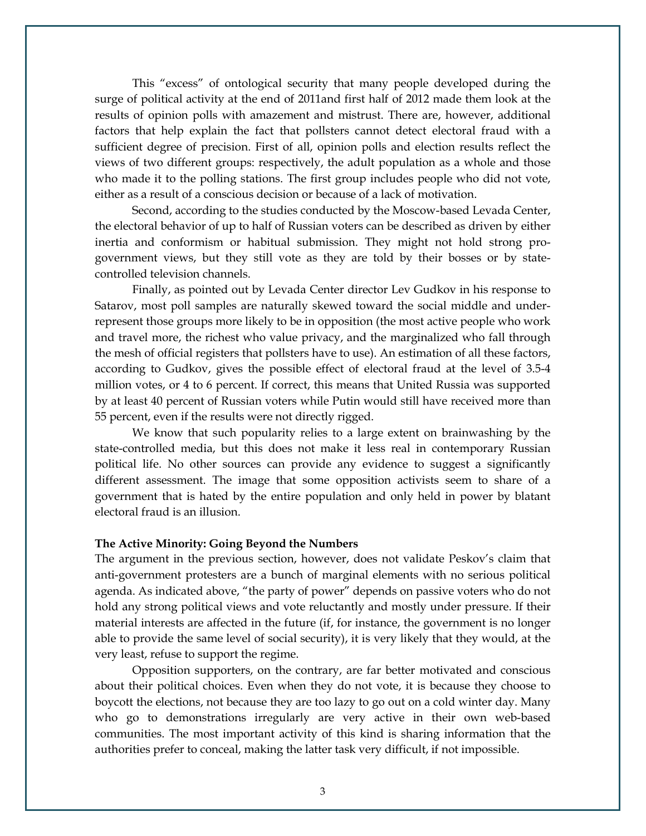This "excess" of ontological security that many people developed during the surge of political activity at the end of 2011and first half of 2012 made them look at the results of opinion polls with amazement and mistrust. There are, however, additional factors that help explain the fact that pollsters cannot detect electoral fraud with a sufficient degree of precision. First of all, opinion polls and election results reflect the views of two different groups: respectively, the adult population as a whole and those who made it to the polling stations. The first group includes people who did not vote, either as a result of a conscious decision or because of a lack of motivation.

Second, according to the studies conducted by the Moscow-based Levada Center, the electoral behavior of up to half of Russian voters can be described as driven by either inertia and conformism or habitual submission. They might not hold strong progovernment views, but they still vote as they are told by their bosses or by statecontrolled television channels.

Finally, as pointed out by Levada Center director Lev Gudkov in his response to Satarov, most poll samples are naturally skewed toward the social middle and underrepresent those groups more likely to be in opposition (the most active people who work and travel more, the richest who value privacy, and the marginalized who fall through the mesh of official registers that pollsters have to use). An estimation of all these factors, according to Gudkov, gives the possible effect of electoral fraud at the level of 3.5-4 million votes, or 4 to 6 percent. If correct, this means that United Russia was supported by at least 40 percent of Russian voters while Putin would still have received more than 55 percent, even if the results were not directly rigged.

We know that such popularity relies to a large extent on brainwashing by the state-controlled media, but this does not make it less real in contemporary Russian political life. No other sources can provide any evidence to suggest a significantly different assessment. The image that some opposition activists seem to share of a government that is hated by the entire population and only held in power by blatant electoral fraud is an illusion.

#### **The Active Minority: Going Beyond the Numbers**

The argument in the previous section, however, does not validate Peskov's claim that anti-government protesters are a bunch of marginal elements with no serious political agenda. As indicated above, "the party of power" depends on passive voters who do not hold any strong political views and vote reluctantly and mostly under pressure. If their material interests are affected in the future (if, for instance, the government is no longer able to provide the same level of social security), it is very likely that they would, at the very least, refuse to support the regime.

Opposition supporters, on the contrary, are far better motivated and conscious about their political choices. Even when they do not vote, it is because they choose to boycott the elections, not because they are too lazy to go out on a cold winter day. Many who go to demonstrations irregularly are very active in their own web-based communities. The most important activity of this kind is sharing information that the authorities prefer to conceal, making the latter task very difficult, if not impossible.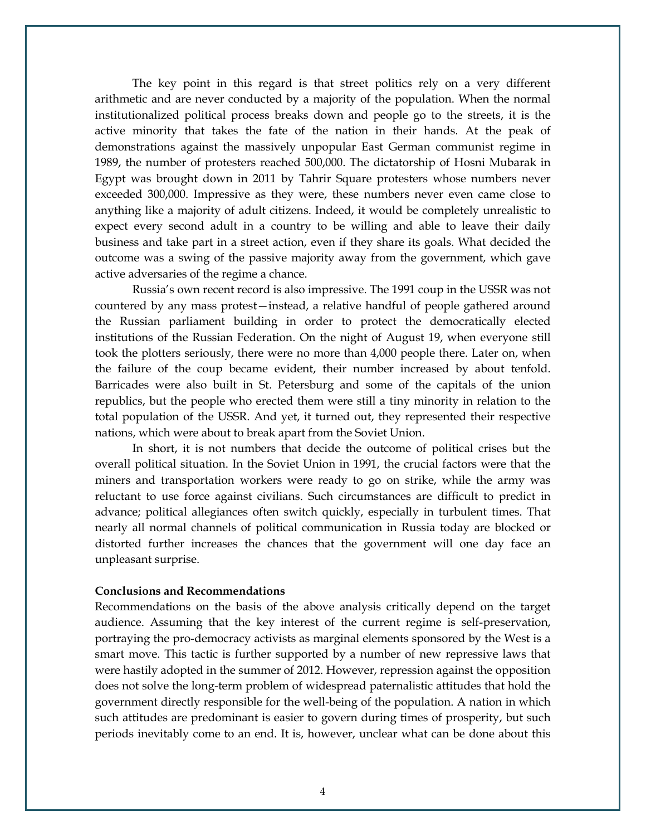The key point in this regard is that street politics rely on a very different arithmetic and are never conducted by a majority of the population. When the normal institutionalized political process breaks down and people go to the streets, it is the active minority that takes the fate of the nation in their hands. At the peak of demonstrations against the massively unpopular East German communist regime in 1989, the number of protesters reached 500,000. The dictatorship of Hosni Mubarak in Egypt was brought down in 2011 by Tahrir Square protesters whose numbers never exceeded 300,000. Impressive as they were, these numbers never even came close to anything like a majority of adult citizens. Indeed, it would be completely unrealistic to expect every second adult in a country to be willing and able to leave their daily business and take part in a street action, even if they share its goals. What decided the outcome was a swing of the passive majority away from the government, which gave active adversaries of the regime a chance.

Russia's own recent record is also impressive. The 1991 coup in the USSR was not countered by any mass protest—instead, a relative handful of people gathered around the Russian parliament building in order to protect the democratically elected institutions of the Russian Federation. On the night of August 19, when everyone still took the plotters seriously, there were no more than 4,000 people there. Later on, when the failure of the coup became evident, their number increased by about tenfold. Barricades were also built in St. Petersburg and some of the capitals of the union republics, but the people who erected them were still a tiny minority in relation to the total population of the USSR. And yet, it turned out, they represented their respective nations, which were about to break apart from the Soviet Union.

In short, it is not numbers that decide the outcome of political crises but the overall political situation. In the Soviet Union in 1991, the crucial factors were that the miners and transportation workers were ready to go on strike, while the army was reluctant to use force against civilians. Such circumstances are difficult to predict in advance; political allegiances often switch quickly, especially in turbulent times. That nearly all normal channels of political communication in Russia today are blocked or distorted further increases the chances that the government will one day face an unpleasant surprise.

### **Conclusions and Recommendations**

Recommendations on the basis of the above analysis critically depend on the target audience. Assuming that the key interest of the current regime is self-preservation, portraying the pro-democracy activists as marginal elements sponsored by the West is a smart move. This tactic is further supported by a number of new repressive laws that were hastily adopted in the summer of 2012. However, repression against the opposition does not solve the long-term problem of widespread paternalistic attitudes that hold the government directly responsible for the well-being of the population. A nation in which such attitudes are predominant is easier to govern during times of prosperity, but such periods inevitably come to an end. It is, however, unclear what can be done about this